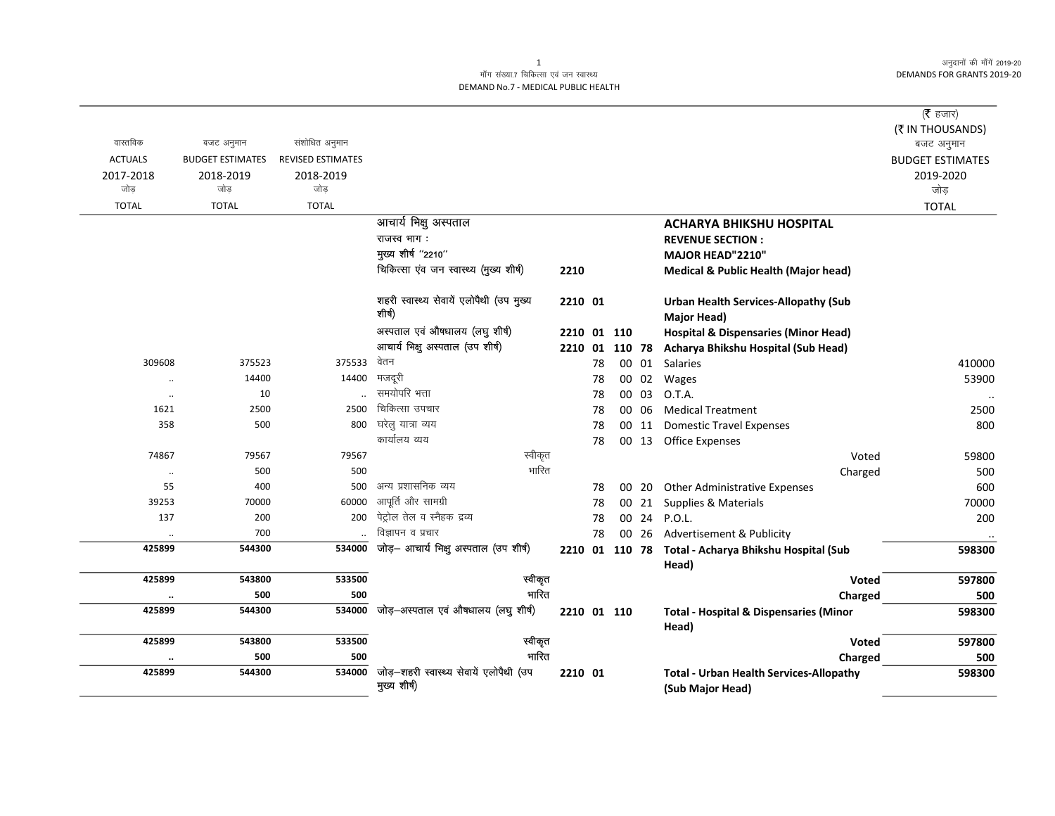अनुदानों की माँगें 2019-20 **DEMANDS FOR GRANTS 2019-20** 

## माँग संख्या.7 चिकित्सा एवं जन स्वास्थ्य DEMAND No.7 - MEDICAL PUBLIC HEALTH

|                |                         |                          |                                                         |             |    |                |       |                                                                    | ( $\bar{\tau}$ हजार)<br>(₹ IN THOUSANDS) |
|----------------|-------------------------|--------------------------|---------------------------------------------------------|-------------|----|----------------|-------|--------------------------------------------------------------------|------------------------------------------|
| वास्तविक       | बजट अनुमान              | संशोधित अनुमान           |                                                         |             |    |                |       |                                                                    | बजट अनुमान                               |
| <b>ACTUALS</b> | <b>BUDGET ESTIMATES</b> | <b>REVISED ESTIMATES</b> |                                                         |             |    |                |       |                                                                    | <b>BUDGET ESTIMATES</b>                  |
| 2017-2018      | 2018-2019               | 2018-2019                |                                                         |             |    |                |       |                                                                    | 2019-2020                                |
| जोड            | जोड                     | जोड                      |                                                         |             |    |                |       |                                                                    | जोड                                      |
| <b>TOTAL</b>   | <b>TOTAL</b>            | <b>TOTAL</b>             |                                                         |             |    |                |       |                                                                    | <b>TOTAL</b>                             |
|                |                         |                          | आचार्य भिक्षु अस्पताल                                   |             |    |                |       | <b>ACHARYA BHIKSHU HOSPITAL</b>                                    |                                          |
|                |                         |                          | राजस्व भाग:                                             |             |    |                |       | <b>REVENUE SECTION:</b>                                            |                                          |
|                |                         |                          | मुख्य शीर्ष "2210"                                      |             |    |                |       | MAJOR HEAD"2210"                                                   |                                          |
|                |                         |                          | चिकित्सा एंव जन स्वास्थ्य (मुख्य शीर्ष)                 | 2210        |    |                |       | <b>Medical &amp; Public Health (Major head)</b>                    |                                          |
|                |                         |                          | शहरी स्वास्थ्य सेवायें एलोपैथी (उप मुख्य<br>शीर्ष)      | 2210 01     |    |                |       | <b>Urban Health Services-Allopathy (Sub</b><br><b>Major Head)</b>  |                                          |
|                |                         |                          | अस्पताल एवं औषधालय (लघु शीर्ष)                          | 2210 01 110 |    |                |       | <b>Hospital &amp; Dispensaries (Minor Head)</b>                    |                                          |
|                |                         |                          | आचार्य भिक्षु अस्पताल (उप शीर्ष)                        |             |    | 2210 01 110 78 |       | Acharya Bhikshu Hospital (Sub Head)                                |                                          |
| 309608         | 375523                  | 375533                   | वेतन                                                    |             | 78 |                | 00 01 | Salaries                                                           | 410000                                   |
| $\ldots$       | 14400                   | 14400                    | मजदूरी                                                  |             | 78 |                | 00 02 | Wages                                                              | 53900                                    |
| $\ddotsc$      | 10                      |                          | समयोपरि भत्ता                                           |             | 78 |                | 00 03 | O.T.A.                                                             | $\ddotsc$                                |
| 1621           | 2500                    | 2500                     | चिकित्सा उपचार                                          |             | 78 |                | 00 06 | <b>Medical Treatment</b>                                           | 2500                                     |
| 358            | 500                     | 800                      | घरेलु यात्रा व्यय                                       |             | 78 |                | 00 11 | <b>Domestic Travel Expenses</b>                                    | 800                                      |
|                |                         |                          | कार्यालय व्यय                                           |             | 78 |                |       | 00 13 Office Expenses                                              |                                          |
| 74867          | 79567                   | 79567                    | स्वीकृत                                                 |             |    |                |       | Voted                                                              | 59800                                    |
| $\ddotsc$      | 500                     | 500                      | भारित                                                   |             |    |                |       | Charged                                                            | 500                                      |
| 55             | 400                     | 500                      | अन्य प्रशासनिक व्यय                                     |             | 78 |                | 00 20 | <b>Other Administrative Expenses</b>                               | 600                                      |
| 39253          | 70000                   | 60000                    | आपूर्ति और सामग्री                                      |             | 78 |                | 00 21 | Supplies & Materials                                               | 70000                                    |
| 137            | 200                     | 200                      | पेट्रोल तेल व स्नैहक द्रव्य                             |             | 78 |                |       | 00 24 P.O.L.                                                       | 200                                      |
| $\ddotsc$      | 700                     |                          | विज्ञापन व प्रचार                                       |             | 78 |                | 00 26 | <b>Advertisement &amp; Publicity</b>                               | $\cdot\cdot$                             |
| 425899         | 544300                  | 534000                   | जोड़- आचार्य भिक्षु अस्पताल (उप शीर्ष)                  |             |    |                |       | 2210 01 110 78 Total - Acharya Bhikshu Hospital (Sub<br>Head)      | 598300                                   |
| 425899         | 543800                  | 533500                   | स्वीकृत                                                 |             |    |                |       | <b>Voted</b>                                                       | 597800                                   |
| $\cdot$        | 500                     | 500                      | भारित                                                   |             |    |                |       | Charged                                                            | 500                                      |
| 425899         | 544300                  | 534000                   | जोड़-अस्पताल एवं औषधालय (लघु शीर्ष)                     | 2210 01 110 |    |                |       | <b>Total - Hospital &amp; Dispensaries (Minor</b><br>Head)         | 598300                                   |
| 425899         | 543800                  | 533500                   | स्वीकृत                                                 |             |    |                |       | Voted                                                              | 597800                                   |
|                | 500                     | 500                      | भारित                                                   |             |    |                |       | Charged                                                            | 500                                      |
| 425899         | 544300                  | 534000                   | जोड़-शहरी स्वास्थ्य सेवायें एलोपैथी (उप<br>मुख्य शीर्ष) | 2210 01     |    |                |       | <b>Total - Urban Health Services-Allopathy</b><br>(Sub Major Head) | 598300                                   |

 $\mathbf{1}$